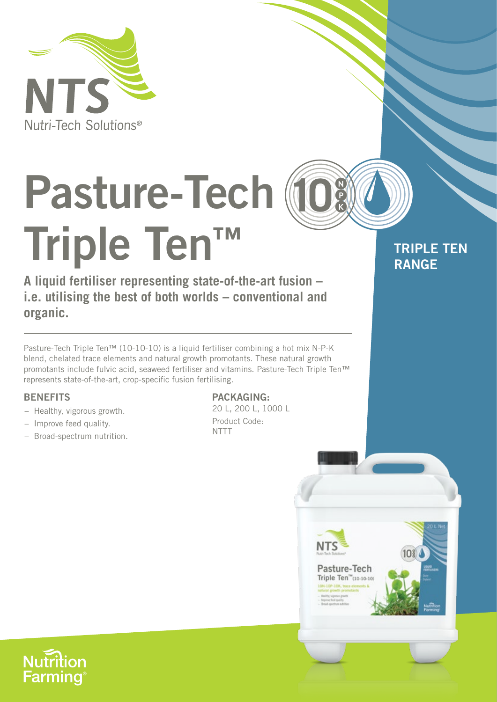

# **Pasture-Tech Triple Ten™**

**A liquid fertiliser representing state-of-the-art fusion – i.e. utilising the best of both worlds – conventional and organic.**

Pasture-Tech Triple Ten™ (10-10-10) is a liquid fertiliser combining a hot mix N-P-K blend, chelated trace elements and natural growth promotants. These natural growth promotants include fulvic acid, seaweed fertiliser and vitamins. Pasture-Tech Triple Ten™ represents state-of-the-art, crop-specific fusion fertilising.

## **BENEFITS**

- Healthy, vigorous growth.
- Improve feed quality.
- Broad-spectrum nutrition.

### **PACKAGING:**

20 L, 200 L, 1000 L Product Code: NTTT

**NTS** 

Pasture-Tech Triple Ten<sup>™</sup>(10-10-10)